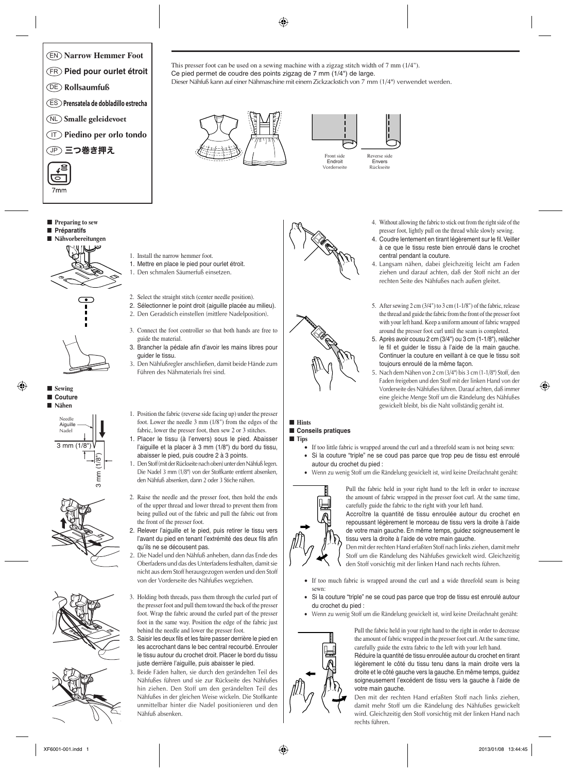



■ **Preparing to sew** ■ **Préparatifs** ■ **Nähvorbereitungen**





⊕















4. Without allowing the fabric to stick out from the right side of the presser foot, lightly pull on the thread while slowly sewing.

- 4. Coudre lentement en tirant légèrement sur le fil. Veiller à ce que le tissu reste bien enroulé dans le crochet central pendant la couture.
- 4. Langsam nähen, dabei gleichzeitig leicht am Faden ziehen und darauf achten, daß der Stoff nicht an der rechten Seite des Nähfußes nach außen gleitet.
- 5. After sewing 2 cm (3/4") to 3 cm (1-1/8") of the fabric, release the thread and guide the fabric from the front of the presser foot with your left hand. Keep a uniform amount of fabric wrapped around the presser foot curl until the seam is completed.
- 5. Après avoir cousu 2 cm (3/4") ou 3 cm (1-1/8"), relâcher le fil et guider le tissu à l'aide de la main gauche. Continuer la couture en veillant à ce que le tissu soit toujours enroulé de la même façon.
- 5. Nach dem Nähen von 2 cm (3/4") bis 3 cm (1-1/8") Stoff, den Faden freigeben und den Stoff mit der linken Hand von der Vorderseite des Nähfußes führen. Darauf achten, daß immer eine gleiche Menge Stoff um die Rändelung des Nähfußes gewickelt bleibt, bis die Naht vollständig genäht ist.
- 1. Position the fabric (reverse side facing up) under the presser foot. Lower the needle 3 mm (1/8") from the edges of the fabric, lower the presser foot, then sew 2 or 3 stitches.
- 1. Placer le tissu (à l'envers) sous le pied. Abaisser l'aiguille et la placer à 3 mm (1/8") du bord du tissu, abaisser le pied, puis coudre 2 à 3 points.
- 1. Den Stoff (mit der Rückseite nach oben) unter den Nähfuß legen. Die Nadel 3 mm (1/8") von der Stoffkante entfernt absenken, den Nähfuß absenken, dann 2 oder 3 Stiche nähen.
- 2. Raise the needle and the presser foot, then hold the ends of the upper thread and lower thread to prevent them from being pulled out of the fabric and pull the fabric out from the front of the presser foot.
- 2. Relever l'aiguille et le pied, puis retirer le tissu vers l'avant du pied en tenant l'extrémité des deux fils afin qu'ils ne se décousent pas.
- 2. Die Nadel und den Nähfuß anheben, dann das Ende des Oberfadens und das des Unterfadens festhalten, damit sie nicht aus dem Stoff herausgezogen werden und den Stoff von der Vorderseite des Nähfußes wegziehen.
- 3. Holding both threads, pass them through the curled part of the presser foot and pull them toward the back of the presser foot. Wrap the fabric around the curled part of the presser foot in the same way. Position the edge of the fabric just behind the needle and lower the presser foot.
- 3. Saisir les deux fils et les faire passer derrière le pied en les accrochant dans le bec central recourbé. Enrouler le tissu autour du crochet droit. Placer le bord du tissu juste derrière l'aiguille, puis abaisser le pied.
- 3. Beide Fäden halten, sie durch den gerändelten Teil des Nähfußes führen und sie zur Rückseite des Nähfußes hin ziehen. Den Stoff um den gerändelten Teil des Nähfußes in der gleichen Weise wickeln. Die Stoffkante unmittelbar hinter die Nadel positionieren und den Nähfuß absenken.

This presser foot can be used on a sewing machine with a zigzag stitch width of 7 mm (1/4").

◈

Dieser Nähfuß kann auf einer Nähmaschine mit einem Zickzackstich von 7 mm (1/4") verwendet werden.

Ce pied permet de coudre des points zigzag de 7 mm (1/4") de large.





### ■ **Hints** ■ **Conseils pratiques**

## ■ **Tips**

- If too little fabric is wrapped around the curl and a threefold seam is not being sewn: • Si la couture "triple" ne se coud pas parce que trop peu de tissu est enroulé autour du crochet du pied :
- Wenn zu wenig Stoff um die Rändelung gewickelt ist, wird keine Dreifachnaht genäht:



Pull the fabric held in your right hand to the left in order to increase the amount of fabric wrapped in the presser foot curl. At the same time, carefully guide the fabric to the right with your left hand.

Accroître la quantité de tissu enroulée autour du crochet en repoussant légèrement le morceau de tissu vers la droite à l'aide de votre main gauche. En même temps, guidez soigneusement le tissu vers la droite à l'aide de votre main gauche.

Den mit der rechten Hand erfaßten Stoff nach links ziehen, damit mehr Stoff um die Rändelung des Nähfußes gewickelt wird. Gleichzeitig den Stoff vorsichtig mit der linken Hand nach rechts führen.

- If too much fabric is wrapped around the curl and a wide threefold seam is being sewn:
- Si la couture "triple" ne se coud pas parce que trop de tissu est enroulé autour du crochet du pied :
- Wenn zu wenig Stoff um die Rändelung gewickelt ist, wird keine Dreifachnaht genäht:



Pull the fabric held in your right hand to the right in order to decrease the amount of fabric wrapped in the presser foot curl. At the same time, carefully guide the extra fabric to the left with your left hand. Réduire la quantité de tissu enroulée autour du crochet en tirant

légèrement le côté du tissu tenu dans la main droite vers la droite et le côté gauche vers la gauche. En même temps, guidez soigneusement l'excédent de tissu vers la gauche à l'aide de votre main gauche.

Den mit der rechten Hand erfaßten Stoff nach links ziehen, damit mehr Stoff um die Rändelung des Nähfußes gewickelt wird. Gleichzeitig den Stoff vorsichtig mit der linken Hand nach rechts führen.



1. Install the narrow hemmer foot.

guide the material.

guider le tissu.

1. Mettre en place le pied pour ourlet étroit. 1. Den schmalen Säumerfuß einsetzen.

2. Select the straight stitch (center needle position). 2. Sélectionner le point droit (aiguille placée au milieu). 2. Den Geradstich einstellen (mittlere Nadelposition).

3. Connect the foot controller so that both hands are free to

3. Brancher la pédale afin d'avoir les mains libres pour

3. Den Nähfußregler anschließen, damit beide Hände zum

Führen des Nähmaterials frei sind.